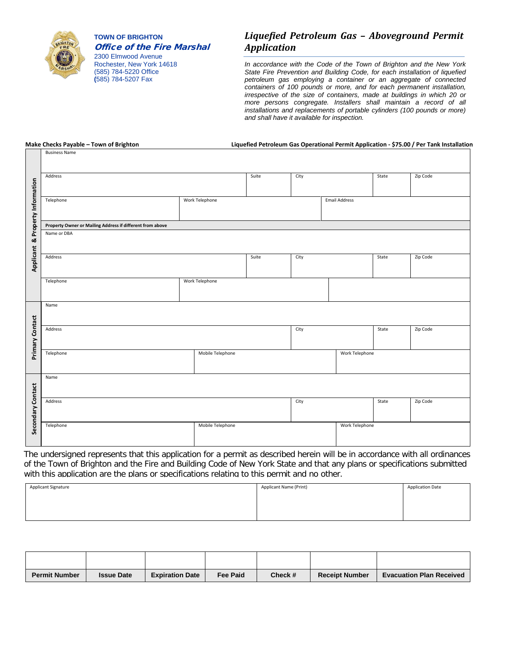

**TOWN OF BRIGHTON** Office of the Fire Marshal

2300 Elmwood Avenue Rochester, New York 14618 (585) 784-5220 Office **(**585) 784-5207 Fax

#### *Liquefied Petroleum Gas – Aboveground Permit Application*

*In accordance with the Code of the Town of Brighton and the New York State Fire Prevention and Building Code, for each installation of liquefied petroleum gas employing a container or an aggregate of connected containers of 100 pounds or more, and for each permanent installation, irrespective of the size of containers, made at buildings in which 20 or more persons congregate. Installers shall maintain a record of all installations and replacements of portable cylinders (100 pounds or more) and shall have it available for inspection.* 

Business Name

#### **Make Checks Payable – Town of Brighton Liquefied Petroleum Gas Operational Permit Application - \$75.00 / Per Tank Installation**

|                                                           | Address                       |                | Suite | City                 |                | State | Zip Code |
|-----------------------------------------------------------|-------------------------------|----------------|-------|----------------------|----------------|-------|----------|
|                                                           |                               |                |       |                      |                |       |          |
|                                                           | Telephone                     | Work Telephone |       | <b>Email Address</b> |                |       |          |
| & Property Information                                    |                               |                |       |                      |                |       |          |
| Property Owner or Mailing Address if different from above |                               |                |       |                      |                |       |          |
|                                                           | Name or DBA                   |                |       |                      |                |       |          |
| Applicant                                                 | Address                       |                | Suite | City                 |                | State | Zip Code |
|                                                           | Telephone                     | Work Telephone |       |                      |                |       |          |
|                                                           | Name                          |                |       |                      |                |       |          |
| Primary Contact                                           | Address                       |                |       | City                 |                | State | Zip Code |
|                                                           | Telephone                     |                |       | Work Telephone       |                |       |          |
|                                                           | Name                          |                |       |                      |                |       |          |
| Secondary Contact                                         | Address                       |                |       | City                 |                | State | Zip Code |
|                                                           | Mobile Telephone<br>Telephone |                |       |                      | Work Telephone |       |          |

The undersigned represents that this application for a permit as described herein will be in accordance with all ordinances of the Town of Brighton and the Fire and Building Code of New York State and that any plans or specifications submitted with this application are the plans or specifications relating to this permit and no other.

| Applicant Signature | Applicant Name (Print) | <b>Application Date</b> |
|---------------------|------------------------|-------------------------|
|                     |                        |                         |
|                     |                        |                         |
|                     |                        |                         |

| <b>Permit Number</b> | <b>Issue Date</b> | <b>Expiration Date</b> | <b>Fee Paid</b> | Check # | <b>Receipt Number</b> | <b>Evacuation Plan Received</b> |
|----------------------|-------------------|------------------------|-----------------|---------|-----------------------|---------------------------------|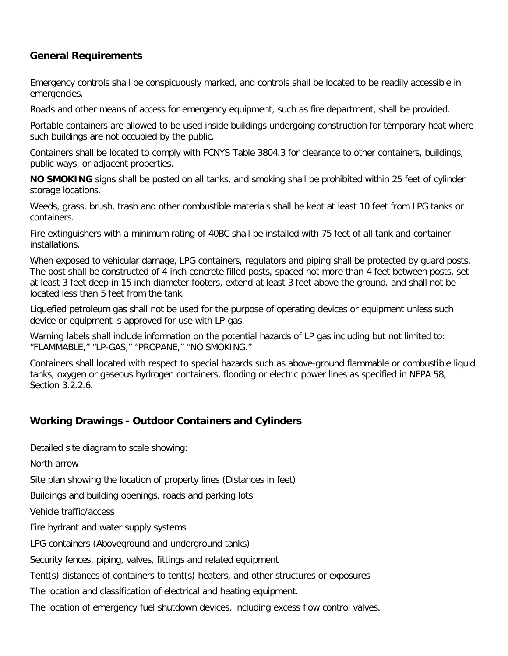# **General Requirements**

Emergency controls shall be conspicuously marked, and controls shall be located to be readily accessible in emergencies.

Roads and other means of access for emergency equipment, such as fire department, shall be provided.

Portable containers are allowed to be used inside buildings undergoing construction for temporary heat where such buildings are not occupied by the public.

Containers shall be located to comply with FCNYS Table 3804.3 for clearance to other containers, buildings, public ways, or adjacent properties.

**NO SMOKING** signs shall be posted on all tanks, and smoking shall be prohibited within 25 feet of cylinder storage locations.

Weeds, grass, brush, trash and other combustible materials shall be kept at least 10 feet from LPG tanks or containers.

Fire extinguishers with a minimum rating of 40BC shall be installed with 75 feet of all tank and container installations.

When exposed to vehicular damage, LPG containers, regulators and piping shall be protected by guard posts. The post shall be constructed of 4 inch concrete filled posts, spaced not more than 4 feet between posts, set at least 3 feet deep in 15 inch diameter footers, extend at least 3 feet above the ground, and shall not be located less than 5 feet from the tank.

Liquefied petroleum gas shall not be used for the purpose of operating devices or equipment unless such device or equipment is approved for use with LP-gas.

Warning labels shall include information on the potential hazards of LP gas including but not limited to: "FLAMMABLE," "LP-GAS," "PROPANE," "NO SMOKING."

Containers shall located with respect to special hazards such as above-ground flammable or combustible liquid tanks, oxygen or gaseous hydrogen containers, flooding or electric power lines as specified in NFPA 58, Section 3.2.2.6.

# **Working Drawings - Outdoor Containers and Cylinders**

Detailed site diagram to scale showing:

North arrow

Site plan showing the location of property lines (Distances in feet)

Buildings and building openings, roads and parking lots

Vehicle traffic/access

Fire hydrant and water supply systems

LPG containers (Aboveground and underground tanks)

Security fences, piping, valves, fittings and related equipment

Tent(s) distances of containers to tent(s) heaters, and other structures or exposures

The location and classification of electrical and heating equipment.

The location of emergency fuel shutdown devices, including excess flow control valves.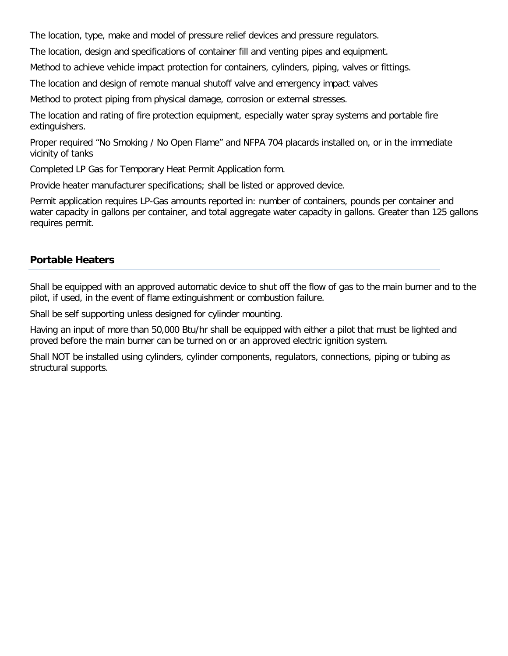The location, type, make and model of pressure relief devices and pressure regulators.

The location, design and specifications of container fill and venting pipes and equipment.

Method to achieve vehicle impact protection for containers, cylinders, piping, valves or fittings.

The location and design of remote manual shutoff valve and emergency impact valves

Method to protect piping from physical damage, corrosion or external stresses.

The location and rating of fire protection equipment, especially water spray systems and portable fire extinguishers.

Proper required "No Smoking / No Open Flame" and NFPA 704 placards installed on, or in the immediate vicinity of tanks

Completed LP Gas for Temporary Heat Permit Application form.

Provide heater manufacturer specifications; shall be listed or approved device.

Permit application requires LP-Gas amounts reported in: number of containers, pounds per container and water capacity in gallons per container, and total aggregate water capacity in gallons. Greater than 125 gallons requires permit.

# **Portable Heaters**

Shall be equipped with an approved automatic device to shut off the flow of gas to the main burner and to the pilot, if used, in the event of flame extinguishment or combustion failure.

Shall be self supporting unless designed for cylinder mounting.

Having an input of more than 50,000 Btu/hr shall be equipped with either a pilot that must be lighted and proved before the main burner can be turned on or an approved electric ignition system.

Shall NOT be installed using cylinders, cylinder components, regulators, connections, piping or tubing as structural supports.